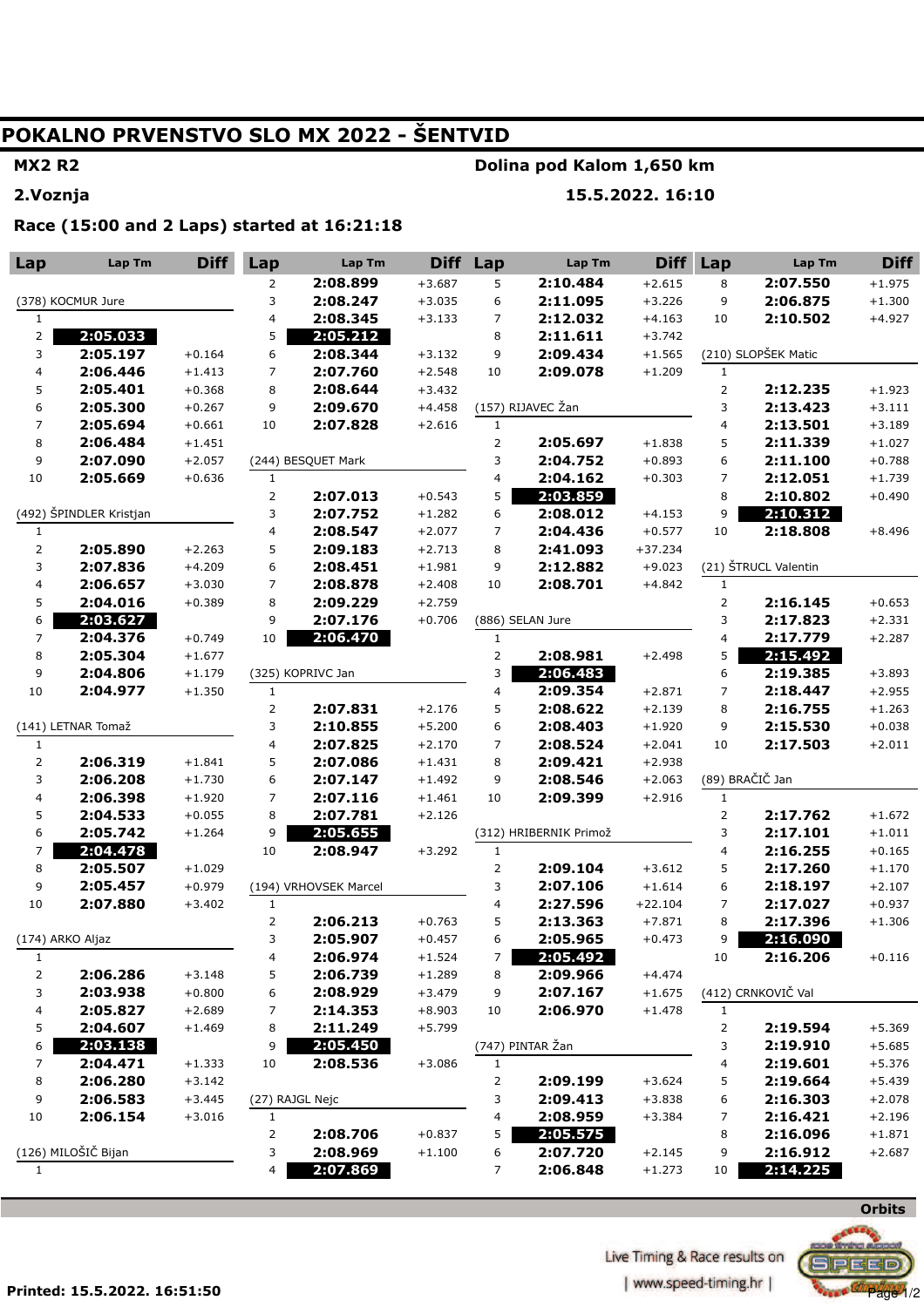## POKALNO PRVENSTVO SLO MX 2022 - ŠENTVID

## **MX2 R2**

2. Voznja

#### Dolina pod Kalom 1,650 km

15.5.2022. 16:10

Race (15:00 and 2 Laps) started at 16:21:18

| Lap                     | Lap Tm               | <b>Diff</b> | Lap                     | Lap Tm                | <b>Diff</b> | Lap                            | Lap Tm                 | <b>Diff</b> | Lap                 | Lap Tm               | <b>Diff</b>          |
|-------------------------|----------------------|-------------|-------------------------|-----------------------|-------------|--------------------------------|------------------------|-------------|---------------------|----------------------|----------------------|
|                         |                      |             | 2                       | 2:08.899              | $+3.687$    | 5                              | 2:10.484               | $+2.615$    | 8                   | 2:07.550             | $+1.975$             |
| (378) KOCMUR Jure       |                      |             | 3                       | 2:08.247              | $+3.035$    | 6                              | 2:11.095               | $+3.226$    | 9                   | 2:06.875             | $+1.300$             |
| 1                       |                      |             | $\overline{\mathbf{4}}$ | 2:08.345              | $+3.133$    | $\overline{7}$                 | 2:12.032               | $+4.163$    | 10                  | 2:10.502             | $+4.927$             |
| 2                       | 2:05.033             |             | 5                       | 2:05.212              |             | 8                              | 2:11.611               | $+3.742$    |                     |                      |                      |
| 3                       | 2:05.197             | $+0.164$    | 6                       | 2:08.344              | $+3.132$    | 9                              | 2:09.434               | $+1.565$    |                     | (210) SLOPŠEK Matic  |                      |
| 4                       | 2:06.446             | $+1.413$    | $\overline{7}$          | 2:07.760              | $+2.548$    | 10                             | 2:09.078               | $+1.209$    | $\mathbf{1}$        |                      |                      |
| 5                       | 2:05.401             | $+0.368$    | 8                       | 2:08.644              | $+3.432$    |                                |                        |             | $\overline{2}$      | 2:12.235             | $+1.923$             |
| 6                       | 2:05.300             | $+0.267$    | 9                       | 2:09.670              | $+4.458$    |                                | (157) RIJAVEC Žan      |             | 3                   | 2:13.423             | $+3.111$             |
| $\overline{7}$          | 2:05.694             | $+0.661$    | 10                      | 2:07.828              | $+2.616$    | $\mathbf{1}$                   |                        |             | $\overline{4}$      | 2:13.501             | $+3.189$             |
| 8                       | 2:06.484             | $+1.451$    |                         |                       |             | $\overline{2}$                 | 2:05.697               | $+1.838$    | 5                   | 2:11.339             | $+1.027$             |
| 9                       | 2:07.090             | $+2.057$    |                         | (244) BESQUET Mark    |             | 3                              | 2:04.752               | $+0.893$    | 6                   | 2:11.100             | $+0.788$             |
| $10\,$                  | 2:05.669             | $+0.636$    | $\mathbf{1}$            |                       |             | $\overline{4}$                 | 2:04.162               | $+0.303$    | 7                   | 2:12.051             | $+1.739$             |
|                         |                      |             |                         | 2:07.013              | $+0.543$    | 5                              | 2:03.859               |             | 8                   | 2:10.802             | $+0.490$             |
| (492) ŠPINDLER Kristjan |                      | 3           | 2:07.752                | $+1.282$              | 6           | 2:08.012                       | $+4.153$               | 9           | 2:10.312            |                      |                      |
| $1\,$                   |                      |             | 4                       | 2:08.547              | $+2.077$    | $\overline{7}$                 | 2:04.436               | $+0.577$    | 10                  | 2:18.808             | $+8.496$             |
| $\overline{2}$          | 2:05.890             | $+2.263$    | 5                       | 2:09.183              | $+2.713$    | 8                              | 2:41.093               | $+37.234$   |                     |                      |                      |
| 3                       | 2:07.836             | $+4.209$    | 6                       | 2:08.451              | $+1.981$    | 9                              | 2:12.882               | $+9.023$    |                     | (21) ŠTRUCL Valentin |                      |
| $\overline{\mathbf{4}}$ | 2:06.657             | $+3.030$    | $\overline{7}$          | 2:08.878              | $+2.408$    | 10                             | 2:08.701               | $+4.842$    | $\mathbf{1}$        |                      |                      |
| 5                       | 2:04.016             | $+0.389$    | 8                       | 2:09.229              | $+2.759$    |                                |                        |             | $\overline{2}$      | 2:16.145             | $+0.653$             |
| 6                       | 2:03.627             |             | 9                       | 2:07.176              | $+0.706$    |                                | (886) SELAN Jure       |             | 3                   | 2:17.823             | $+2.331$             |
| $\overline{7}$          | 2:04.376             | $+0.749$    | 10                      | 2:06.470              |             | $\mathbf{1}$                   |                        |             | 4                   | 2:17.779             | $+2.287$             |
| 8                       | 2:05.304             | $+1.677$    |                         |                       |             | $\overline{2}$                 | 2:08.981               | $+2.498$    | 5                   | 2:15.492             |                      |
| 9                       | 2:04.806             | $+1.179$    |                         | (325) KOPRIVC Jan     |             | 3                              | 2:06.483               |             | 6                   | 2:19.385             | $+3.893$             |
| 10                      | 2:04.977             | $+1.350$    | $\mathbf{1}$            |                       |             | $\overline{\mathbf{4}}$        | 2:09.354               | $+2.871$    | $\overline{7}$      | 2:18.447             | $+2.955$             |
|                         |                      |             | $\overline{2}$          | 2:07.831              | $+2.176$    | 5                              | 2:08.622               | $+2.139$    | 8                   | 2:16.755             | $+1.263$             |
|                         | (141) LETNAR Tomaž   |             | 3                       | 2:10.855              | $+5.200$    | 6                              | 2:08.403               | $+1.920$    | 9                   | 2:15.530             | $+0.038$             |
| $\mathbf{1}$            |                      |             | 4                       | 2:07.825              | $+2.170$    | 7                              | 2:08.524               | $+2.041$    | 10                  | 2:17.503             | $+2.011$             |
| $\overline{2}$          | 2:06.319             | $+1.841$    | 5                       | 2:07.086              | $+1.431$    | 8                              | 2:09.421               | $+2.938$    |                     |                      |                      |
| 3                       | 2:06.208             | $+1.730$    | 6                       | 2:07.147              | $+1.492$    | 9                              | 2:08.546               | $+2.063$    |                     | (89) BRAČIČ Jan      |                      |
| $\overline{\mathbf{4}}$ | 2:06.398             | $+1.920$    | $\overline{7}$          | 2:07.116              | $+1.461$    | 10                             | 2:09.399               | $+2.916$    | $\mathbf{1}$        |                      |                      |
| 5                       | 2:04.533             | $+0.055$    | 8                       | 2:07.781              | $+2.126$    |                                |                        |             | $\overline{2}$      | 2:17.762             | $+1.672$             |
| 6<br>7                  | 2:05.742             | $+1.264$    | 9<br>10                 | 2:05.655              |             |                                | (312) HRIBERNIK Primož |             | 3<br>$\overline{4}$ | 2:17.101             | $+1.011$             |
| 8                       | 2:04.478<br>2:05.507 | $+1.029$    |                         | 2:08.947              | $+3.292$    | $\mathbf{1}$<br>$\overline{2}$ | 2:09.104               | $+3.612$    | 5                   | 2:16.255<br>2:17.260 | $+0.165$             |
| 9                       | 2:05.457             | $+0.979$    |                         | (194) VRHOVSEK Marcel |             | 3                              | 2:07.106               | $+1.614$    | 6                   | 2:18.197             | $+1.170$<br>$+2.107$ |
| 10                      | 2:07.880             | $+3.402$    | $\mathbf{1}$            |                       |             | $\overline{4}$                 | 2:27.596               | $+22.104$   | 7                   | 2:17.027             | $+0.937$             |
|                         |                      |             | $\overline{2}$          | 2:06.213              | $+0.763$    | 5                              | 2:13.363               | $+7.871$    | 8                   | 2:17.396             | $+1.306$             |
|                         | (174) ARKO Aljaz     |             | 3                       | 2:05.907              | $+0.457$    | 6                              | 2:05.965               | $+0.473$    | 9                   | 2:16.090             |                      |
| $\mathbf{1}$            |                      |             | 4                       | 2:06.974              | $+1.524$    | 7                              | 2:05.492               |             | 10                  | 2:16.206             | $+0.116$             |
| $\mathbf{2}$            | 2:06.286             | $+3.148$    | 5                       | 2:06.739              | $+1.289$    | 8                              | 2:09.966               | $+4.474$    |                     |                      |                      |
| 3                       | 2:03.938             | $+0.800$    | 6                       | 2:08.929              | $+3.479$    | 9                              | 2:07.167               | $+1.675$    |                     | (412) CRNKOVIČ Val   |                      |
| 4                       | 2:05.827             | $+2.689$    | 7                       | 2:14.353              | $+8.903$    | 10                             | 2:06.970               | $+1.478$    | $\mathbf{1}$        |                      |                      |
| 5                       | 2:04.607             | $+1.469$    | 8                       | 2:11.249              | $+5.799$    |                                |                        |             | 2                   | 2:19.594             | $+5.369$             |
| 6                       | 2:03.138             |             | 9                       | 2:05.450              |             |                                | (747) PINTAR Žan       |             | 3                   | 2:19.910             | $+5.685$             |
| $\overline{7}$          | 2:04.471             | $+1.333$    | 10                      | 2:08.536              | $+3.086$    | $\mathbf{1}$                   |                        |             | 4                   | 2:19.601             | $+5.376$             |
| 8                       | 2:06.280             | $+3.142$    |                         |                       |             | $\overline{2}$                 | 2:09.199               | $+3.624$    | 5                   | 2:19.664             | $+5.439$             |
| 9                       | 2:06.583             | $+3.445$    | (27) RAJGL Nejc         |                       |             | 3                              | 2:09.413               | $+3.838$    | 6                   | 2:16.303             | $+2.078$             |
| 10                      | 2:06.154             | $+3.016$    | 1                       |                       |             | 4                              | 2:08.959               | $+3.384$    | 7                   | 2:16.421             | $+2.196$             |
|                         |                      |             | $\overline{2}$          | 2:08.706              | $+0.837$    | 5                              | 2:05.575               |             | 8                   | 2:16.096             | $+1.871$             |
|                         | (126) MILOŠIČ Bijan  |             | 3                       | 2:08.969              | $+1.100$    | 6                              | 2:07.720               | $+2.145$    | 9                   | 2:16.912             | $+2.687$             |
| $\mathbf{1}$            |                      |             | 4                       | 2:07.869              |             | 7                              | 2:06.848               | $+1.273$    | 10                  | 2:14.225             |                      |
|                         |                      |             |                         |                       |             |                                |                        |             |                     |                      |                      |